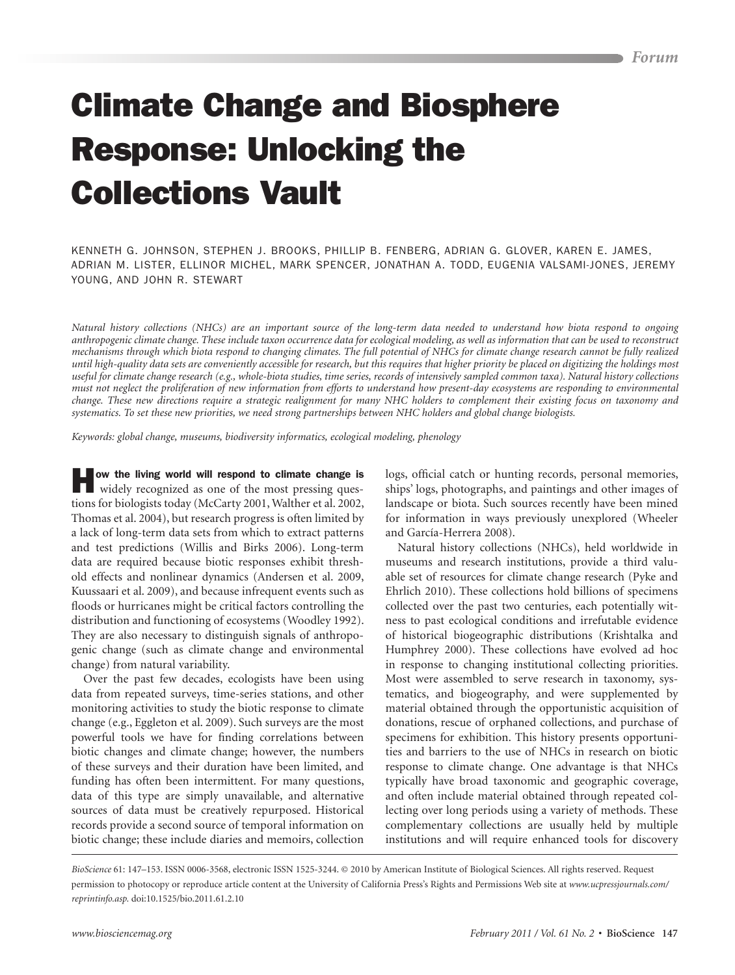# Climate Change and Biosphere Response: Unlocking the Collections Vault

KENNETH G. JOHNSON, STEPHEN J. BROOKS, PHILLIP B. FENBERG, ADRIAN G. GLOVER, KAREN E. JAMES, ADRIAN M. LISTER, ELLINOR MICHEL, MARK SPENCER, JONATHAN A. TODD, EUGENIA VALSAMI-JONES, JEREMY YOUNG, AND JOHN R. STEWART

*Natural history collections (NHCs) are an important source of the long-term data needed to understand how biota respond to ongoing anthropogenic climate change. These include taxon occurrence data for ecological modeling, as well as information that can be used to reconstruct mechanisms through which biota respond to changing climates. The full potential of NHCs for climate change research cannot be fully realized until high-quality data sets are conveniently accessible for research, but this requires that higher priority be placed on digitizing the holdings most useful for climate change research (e.g., whole-biota studies, time series, records of intensively sampled common taxa). Natural history collections must not neglect the proliferation of new information from efforts to understand how present-day ecosystems are responding to environmental change. These new directions require a strategic realignment for many NHC holders to complement their existing focus on taxonomy and systematics. To set these new priorities, we need strong partnerships between NHC holders and global change biologists.*

*Keywords: global change, museums, biodiversity informatics, ecological modeling, phenology*

How the living world will respond to climate change is widely recognized as one of the most pressing questions for biologists today (McCarty 2001, Walther et al. 2002, Thomas et al. 2004), but research progress is often limited by a lack of long-term data sets from which to extract patterns and test predictions (Willis and Birks 2006). Long-term data are required because biotic responses exhibit threshold effects and nonlinear dynamics (Andersen et al. 2009, Kuussaari et al. 2009), and because infrequent events such as floods or hurricanes might be critical factors controlling the distribution and functioning of ecosystems (Woodley 1992). They are also necessary to distinguish signals of anthropogenic change (such as climate change and environmental change) from natural variability.

Over the past few decades, ecologists have been using data from repeated surveys, time-series stations, and other monitoring activities to study the biotic response to climate change (e.g., Eggleton et al. 2009). Such surveys are the most powerful tools we have for finding correlations between biotic changes and climate change; however, the numbers of these surveys and their duration have been limited, and funding has often been intermittent. For many questions, data of this type are simply unavailable, and alternative sources of data must be creatively repurposed. Historical records provide a second source of temporal information on biotic change; these include diaries and memoirs, collection logs, official catch or hunting records, personal memories, ships' logs, photographs, and paintings and other images of landscape or biota. Such sources recently have been mined for information in ways previously unexplored (Wheeler and García-Herrera 2008).

Natural history collections (NHCs), held worldwide in museums and research institutions, provide a third valuable set of resources for climate change research (Pyke and Ehrlich 2010). These collections hold billions of specimens collected over the past two centuries, each potentially witness to past ecological conditions and irrefutable evidence of historical biogeographic distributions (Krishtalka and Humphrey 2000). These collections have evolved ad hoc in response to changing institutional collecting priorities. Most were assembled to serve research in taxonomy, systematics, and biogeography, and were supplemented by material obtained through the opportunistic acquisition of donations, rescue of orphaned collections, and purchase of specimens for exhibition. This history presents opportunities and barriers to the use of NHCs in research on biotic response to climate change. One advantage is that NHCs typically have broad taxonomic and geographic coverage, and often include material obtained through repeated collecting over long periods using a variety of methods. These complementary collections are usually held by multiple institutions and will require enhanced tools for discovery

*BioScience* 61: 147–153. ISSN 0006-3568, electronic ISSN 1525-3244. © 2010 by American Institute of Biological Sciences. All rights reserved. Request permission to photocopy or reproduce article content at the University of California Press's Rights and Permissions Web site at *www.ucpressjournals.com/ reprintinfo.asp.* doi:10.1525/bio.2011.61.2.10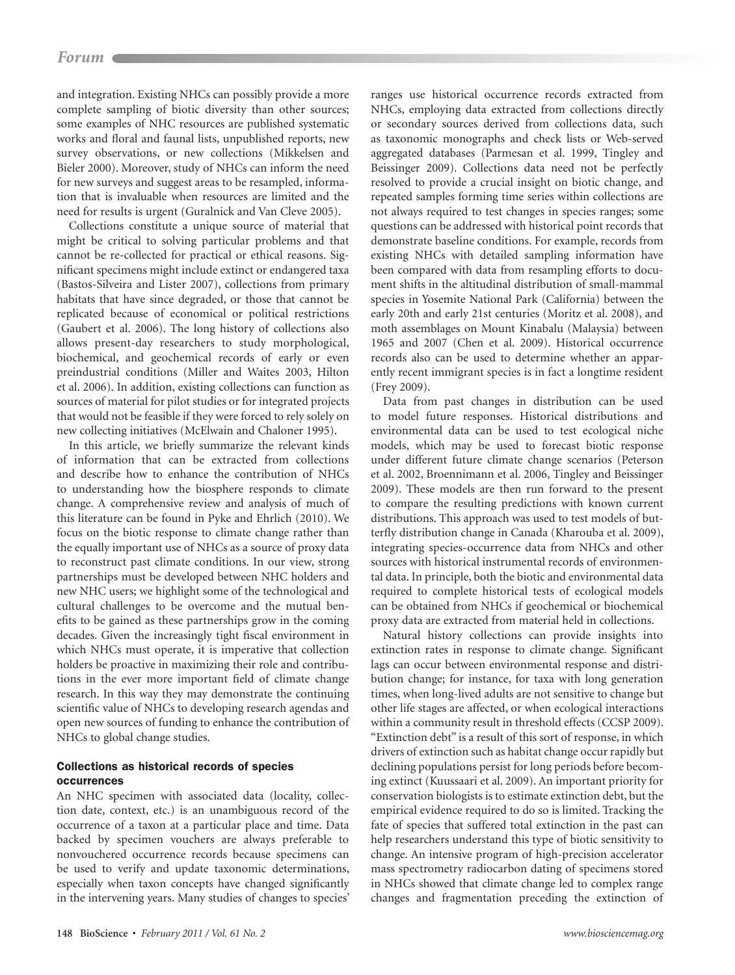# *Forum Forum*

and integration. Existing NHCs can possibly provide a more complete sampling of biotic diversity than other sources; some examples of NHC resources are published systematic works and floral and faunal lists, unpublished reports, new survey observations, or new collections (Mikkelsen and Bieler 2000). Moreover, study of NHCs can inform the need for new surveys and suggest areas to be resampled, information that is invaluable when resources are limited and the need for results is urgent (Guralnick and Van Cleve 2005).

Collections constitute a unique source of material that might be critical to solving particular problems and that cannot be re-collected for practical or ethical reasons. Significant specimens might include extinct or endangered taxa (Bastos-Silveira and Lister 2007), collections from primary habitats that have since degraded, or those that cannot be replicated because of economical or political restrictions (Gaubert et al. 2006). The long history of collections also allows present-day researchers to study morphological, biochemical, and geochemical records of early or even preindustrial conditions (Miller and Waites 2003, Hilton et al. 2006). In addition, existing collections can function as sources of material for pilot studies or for integrated projects that would not be feasible if they were forced to rely solely on new collecting initiatives (McElwain and Chaloner 1995).

In this article, we briefly summarize the relevant kinds of information that can be extracted from collections and describe how to enhance the contribution of NHCs to understanding how the biosphere responds to climate change. A comprehensive review and analysis of much of this literature can be found in Pyke and Ehrlich (2010). We focus on the biotic response to climate change rather than the equally important use of NHCs as a source of proxy data to reconstruct past climate conditions. In our view, strong partnerships must be developed between NHC holders and new NHC users; we highlight some of the technological and cultural challenges to be overcome and the mutual benefits to be gained as these partnerships grow in the coming decades. Given the increasingly tight fiscal environment in which NHCs must operate, it is imperative that collection holders be proactive in maximizing their role and contributions in the ever more important field of climate change research. In this way they may demonstrate the continuing scientific value of NHCs to developing research agendas and open new sources of funding to enhance the contribution of NHCs to global change studies.

## Collections as historical records of species occurrences

An NHC specimen with associated data (locality, collection date, context, etc.) is an unambiguous record of the occurrence of a taxon at a particular place and time. Data backed by specimen vouchers are always preferable to nonvouchered occurrence records because specimens can be used to verify and update taxonomic determinations, especially when taxon concepts have changed significantly in the intervening years. Many studies of changes to species'

ranges use historical occurrence records extracted from NHCs, employing data extracted from collections directly or secondary sources derived from collections data, such as taxonomic monographs and check lists or Web-served aggregated databases (Parmesan et al. 1999, Tingley and Beissinger 2009). Collections data need not be perfectly resolved to provide a crucial insight on biotic change, and repeated samples forming time series within collections are not always required to test changes in species ranges; some questions can be addressed with historical point records that demonstrate baseline conditions. For example, records from existing NHCs with detailed sampling information have been compared with data from resampling efforts to document shifts in the altitudinal distribution of small-mammal species in Yosemite National Park (California) between the early 20th and early 21st centuries (Moritz et al. 2008), and moth assemblages on Mount Kinabalu (Malaysia) between 1965 and 2007 (Chen et al. 2009). Historical occurrence records also can be used to determine whether an apparently recent immigrant species is in fact a longtime resident (Frey 2009).

Data from past changes in distribution can be used to model future responses. Historical distributions and environmental data can be used to test ecological niche models, which may be used to forecast biotic response under different future climate change scenarios (Peterson et al. 2002, Broennimann et al. 2006, Tingley and Beissinger 2009). These models are then run forward to the present to compare the resulting predictions with known current distributions. This approach was used to test models of butterfly distribution change in Canada (Kharouba et al. 2009), integrating species-occurrence data from NHCs and other sources with historical instrumental records of environmental data. In principle, both the biotic and environmental data required to complete historical tests of ecological models can be obtained from NHCs if geochemical or biochemical proxy data are extracted from material held in collections.

Natural history collections can provide insights into extinction rates in response to climate change. Significant lags can occur between environmental response and distribution change; for instance, for taxa with long generation times, when long-lived adults are not sensitive to change but other life stages are affected, or when ecological interactions within a community result in threshold effects (CCSP 2009). "Extinction debt" is a result of this sort of response, in which drivers of extinction such as habitat change occur rapidly but declining populations persist for long periods before becoming extinct (Kuussaari et al. 2009). An important priority for conservation biologists is to estimate extinction debt, but the empirical evidence required to do so is limited. Tracking the fate of species that suffered total extinction in the past can help researchers understand this type of biotic sensitivity to change. An intensive program of high-precision accelerator mass spectrometry radiocarbon dating of specimens stored in NHCs showed that climate change led to complex range changes and fragmentation preceding the extinction of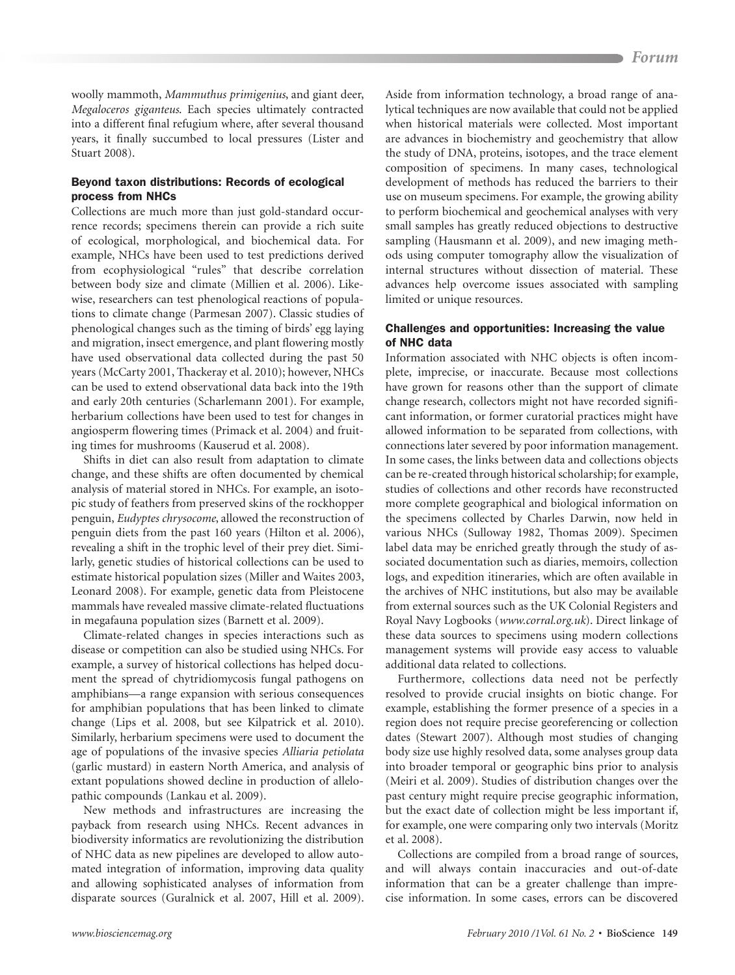woolly mammoth, *Mammuthus primigenius*, and giant deer, *Megaloceros giganteus*. Each species ultimately contracted into a different final refugium where, after several thousand years, it finally succumbed to local pressures (Lister and Stuart 2008).

## Beyond taxon distributions: Records of ecological process from NHCs

Collections are much more than just gold-standard occurrence records; specimens therein can provide a rich suite of ecological, morphological, and biochemical data. For example, NHCs have been used to test predictions derived from ecophysiological "rules" that describe correlation between body size and climate (Millien et al. 2006). Likewise, researchers can test phenological reactions of populations to climate change (Parmesan 2007). Classic studies of phenological changes such as the timing of birds' egg laying and migration, insect emergence, and plant flowering mostly have used observational data collected during the past 50 years (McCarty 2001, Thackeray et al. 2010); however, NHCs can be used to extend observational data back into the 19th and early 20th centuries (Scharlemann 2001). For example, herbarium collections have been used to test for changes in angiosperm flowering times (Primack et al. 2004) and fruiting times for mushrooms (Kauserud et al. 2008).

Shifts in diet can also result from adaptation to climate change, and these shifts are often documented by chemical analysis of material stored in NHCs. For example, an isotopic study of feathers from preserved skins of the rockhopper penguin, *Eudyptes chrysocome*, allowed the reconstruction of penguin diets from the past 160 years (Hilton et al. 2006), revealing a shift in the trophic level of their prey diet. Similarly, genetic studies of historical collections can be used to estimate historical population sizes (Miller and Waites 2003, Leonard 2008). For example, genetic data from Pleistocene mammals have revealed massive climate-related fluctuations in megafauna population sizes (Barnett et al. 2009).

Climate-related changes in species interactions such as disease or competition can also be studied using NHCs. For example, a survey of historical collections has helped document the spread of chytridiomycosis fungal pathogens on amphibians—a range expansion with serious consequences for amphibian populations that has been linked to climate change (Lips et al. 2008, but see Kilpatrick et al. 2010). Similarly, herbarium specimens were used to document the age of populations of the invasive species *Alliaria petiolata* (garlic mustard) in eastern North America, and analysis of extant populations showed decline in production of allelopathic compounds (Lankau et al. 2009).

New methods and infrastructures are increasing the payback from research using NHCs. Recent advances in biodiversity informatics are revolutionizing the distribution of NHC data as new pipelines are developed to allow automated integration of information, improving data quality and allowing sophisticated analyses of information from disparate sources (Guralnick et al. 2007, Hill et al. 2009).

Aside from information technology, a broad range of analytical techniques are now available that could not be applied when historical materials were collected. Most important are advances in biochemistry and geochemistry that allow the study of DNA, proteins, isotopes, and the trace element composition of specimens. In many cases, technological development of methods has reduced the barriers to their use on museum specimens. For example, the growing ability to perform biochemical and geochemical analyses with very small samples has greatly reduced objections to destructive sampling (Hausmann et al. 2009), and new imaging methods using computer tomography allow the visualization of internal structures without dissection of material. These advances help overcome issues associated with sampling limited or unique resources.

## Challenges and opportunities: Increasing the value of NHC data

Information associated with NHC objects is often incomplete, imprecise, or inaccurate. Because most collections have grown for reasons other than the support of climate change research, collectors might not have recorded significant information, or former curatorial practices might have allowed information to be separated from collections, with connections later severed by poor information management. In some cases, the links between data and collections objects can be re-created through historical scholarship; for example, studies of collections and other records have reconstructed more complete geographical and biological information on the specimens collected by Charles Darwin, now held in various NHCs (Sulloway 1982, Thomas 2009). Specimen label data may be enriched greatly through the study of associated documentation such as diaries, memoirs, collection logs, and expedition itineraries, which are often available in the archives of NHC institutions, but also may be available from external sources such as the UK Colonial Registers and Royal Navy Logbooks (*www.corral.org.uk*). Direct linkage of these data sources to specimens using modern collections management systems will provide easy access to valuable additional data related to collections.

Furthermore, collections data need not be perfectly resolved to provide crucial insights on biotic change. For example, establishing the former presence of a species in a region does not require precise georeferencing or collection dates (Stewart 2007). Although most studies of changing body size use highly resolved data, some analyses group data into broader temporal or geographic bins prior to analysis (Meiri et al. 2009). Studies of distribution changes over the past century might require precise geographic information, but the exact date of collection might be less important if, for example, one were comparing only two intervals (Moritz et al. 2008).

Collections are compiled from a broad range of sources, and will always contain inaccuracies and out-of-date information that can be a greater challenge than imprecise information. In some cases, errors can be discovered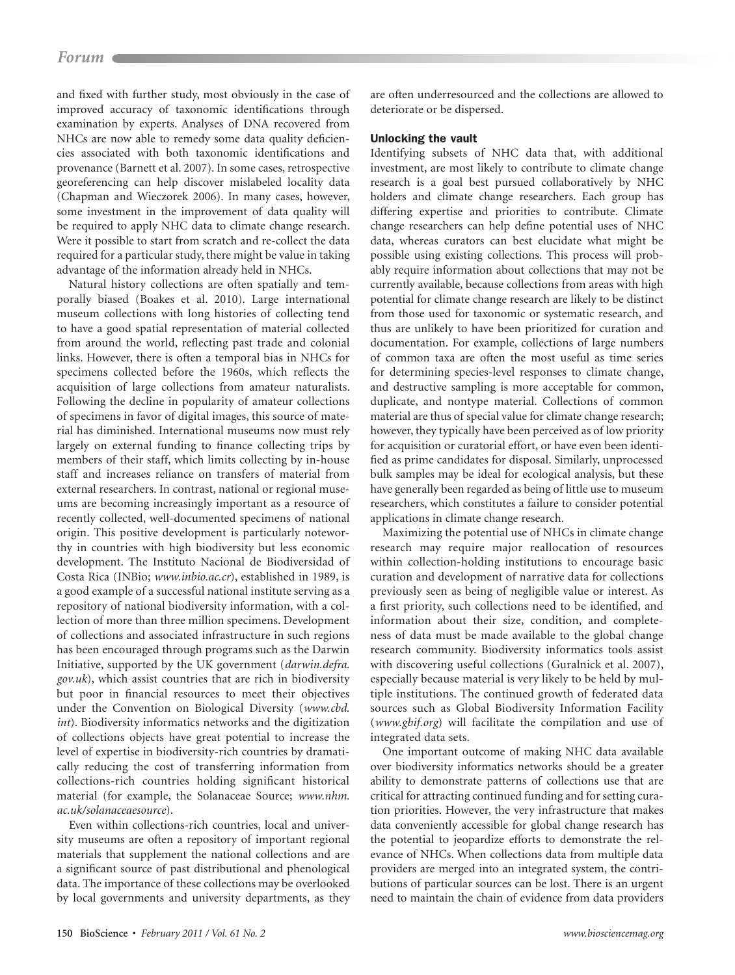# *Forum Forum*

and fixed with further study, most obviously in the case of improved accuracy of taxonomic identifications through examination by experts. Analyses of DNA recovered from NHCs are now able to remedy some data quality deficiencies associated with both taxonomic identifications and provenance (Barnett et al. 2007). In some cases, retrospective georeferencing can help discover mislabeled locality data (Chapman and Wieczorek 2006). In many cases, however, some investment in the improvement of data quality will be required to apply NHC data to climate change research. Were it possible to start from scratch and re-collect the data required for a particular study, there might be value in taking advantage of the information already held in NHCs.

Natural history collections are often spatially and temporally biased (Boakes et al. 2010). Large international museum collections with long histories of collecting tend to have a good spatial representation of material collected from around the world, reflecting past trade and colonial links. However, there is often a temporal bias in NHCs for specimens collected before the 1960s, which reflects the acquisition of large collections from amateur naturalists. Following the decline in popularity of amateur collections of specimens in favor of digital images, this source of material has diminished. International museums now must rely largely on external funding to finance collecting trips by members of their staff, which limits collecting by in-house staff and increases reliance on transfers of material from external researchers. In contrast, national or regional museums are becoming increasingly important as a resource of recently collected, well-documented specimens of national origin. This positive development is particularly noteworthy in countries with high biodiversity but less economic development. The Instituto Nacional de Biodiversidad of Costa Rica (INBio; *www.inbio.ac.cr*), established in 1989, is a good example of a successful national institute serving as a repository of national biodiversity information, with a collection of more than three million specimens. Development of collections and associated infrastructure in such regions has been encouraged through programs such as the Darwin Initiative, supported by the UK government (*darwin.defra. gov.uk*), which assist countries that are rich in biodiversity but poor in financial resources to meet their objectives under the Convention on Biological Diversity (*www.cbd. int*). Biodiversity informatics networks and the digitization of collections objects have great potential to increase the level of expertise in biodiversity-rich countries by dramatically reducing the cost of transferring information from collections-rich countries holding significant historical material (for example, the Solanaceae Source; *www.nhm. ac.uk/solanaceaesource*).

Even within collections-rich countries, local and university museums are often a repository of important regional materials that supplement the national collections and are a significant source of past distributional and phenological data. The importance of these collections may be overlooked by local governments and university departments, as they are often underresourced and the collections are allowed to deteriorate or be dispersed.

### Unlocking the vault

Identifying subsets of NHC data that, with additional investment, are most likely to contribute to climate change research is a goal best pursued collaboratively by NHC holders and climate change researchers. Each group has differing expertise and priorities to contribute. Climate change researchers can help define potential uses of NHC data, whereas curators can best elucidate what might be possible using existing collections. This process will probably require information about collections that may not be currently available, because collections from areas with high potential for climate change research are likely to be distinct from those used for taxonomic or systematic research, and thus are unlikely to have been prioritized for curation and documentation. For example, collections of large numbers of common taxa are often the most useful as time series for determining species-level responses to climate change, and destructive sampling is more acceptable for common, duplicate, and nontype material. Collections of common material are thus of special value for climate change research; however, they typically have been perceived as of low priority for acquisition or curatorial effort, or have even been identified as prime candidates for disposal. Similarly, unprocessed bulk samples may be ideal for ecological analysis, but these have generally been regarded as being of little use to museum researchers, which constitutes a failure to consider potential applications in climate change research.

Maximizing the potential use of NHCs in climate change research may require major reallocation of resources within collection-holding institutions to encourage basic curation and development of narrative data for collections previously seen as being of negligible value or interest. As a first priority, such collections need to be identified, and information about their size, condition, and completeness of data must be made available to the global change research community. Biodiversity informatics tools assist with discovering useful collections (Guralnick et al. 2007), especially because material is very likely to be held by multiple institutions. The continued growth of federated data sources such as Global Biodiversity Information Facility (*www.gbif.org*) will facilitate the compilation and use of integrated data sets.

One important outcome of making NHC data available over biodiversity informatics networks should be a greater ability to demonstrate patterns of collections use that are critical for attracting continued funding and for setting curation priorities. However, the very infrastructure that makes data conveniently accessible for global change research has the potential to jeopardize efforts to demonstrate the relevance of NHCs. When collections data from multiple data providers are merged into an integrated system, the contributions of particular sources can be lost. There is an urgent need to maintain the chain of evidence from data providers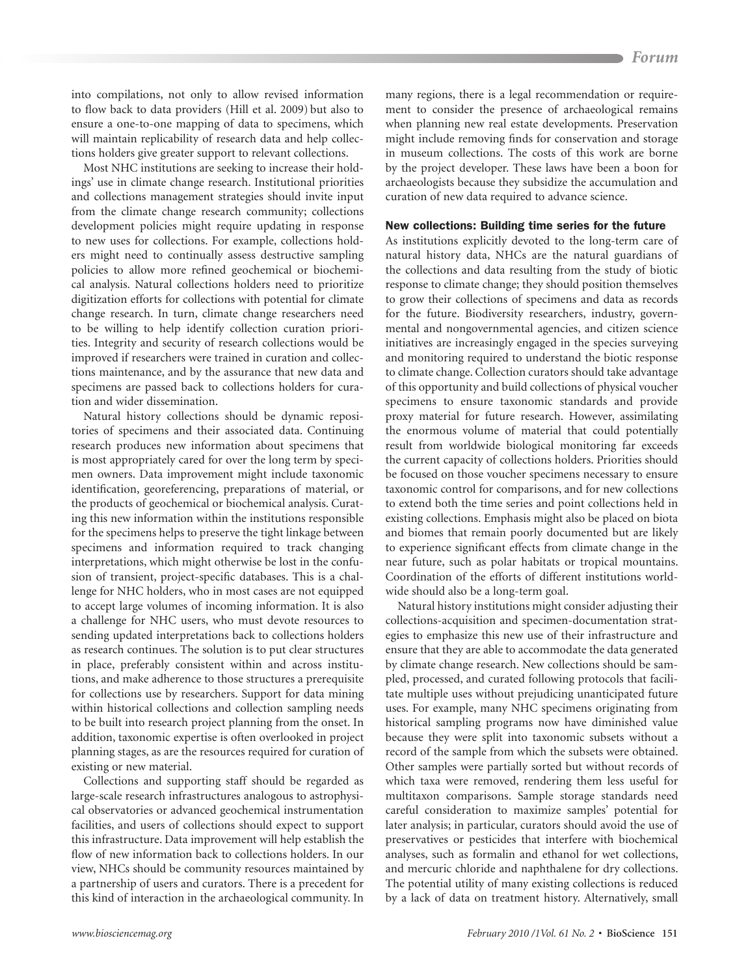into compilations, not only to allow revised information to flow back to data providers (Hill et al. 2009) but also to ensure a one-to-one mapping of data to specimens, which will maintain replicability of research data and help collections holders give greater support to relevant collections.

Most NHC institutions are seeking to increase their holdings' use in climate change research. Institutional priorities and collections management strategies should invite input from the climate change research community; collections development policies might require updating in response to new uses for collections. For example, collections holders might need to continually assess destructive sampling policies to allow more refined geochemical or biochemical analysis. Natural collections holders need to prioritize digitization efforts for collections with potential for climate change research. In turn, climate change researchers need to be willing to help identify collection curation priorities. Integrity and security of research collections would be improved if researchers were trained in curation and collections maintenance, and by the assurance that new data and specimens are passed back to collections holders for curation and wider dissemination.

Natural history collections should be dynamic repositories of specimens and their associated data. Continuing research produces new information about specimens that is most appropriately cared for over the long term by specimen owners. Data improvement might include taxonomic identification, georeferencing, preparations of material, or the products of geochemical or biochemical analysis. Curating this new information within the institutions responsible for the specimens helps to preserve the tight linkage between specimens and information required to track changing interpretations, which might otherwise be lost in the confusion of transient, project-specific databases. This is a challenge for NHC holders, who in most cases are not equipped to accept large volumes of incoming information. It is also a challenge for NHC users, who must devote resources to sending updated interpretations back to collections holders as research continues. The solution is to put clear structures in place, preferably consistent within and across institutions, and make adherence to those structures a prerequisite for collections use by researchers. Support for data mining within historical collections and collection sampling needs to be built into research project planning from the onset. In addition, taxonomic expertise is often overlooked in project planning stages, as are the resources required for curation of existing or new material.

Collections and supporting staff should be regarded as large-scale research infrastructures analogous to astrophysical observatories or advanced geochemical instrumentation facilities, and users of collections should expect to support this infrastructure. Data improvement will help establish the flow of new information back to collections holders. In our view, NHCs should be community resources maintained by a partnership of users and curators. There is a precedent for this kind of interaction in the archaeological community. In many regions, there is a legal recommendation or requirement to consider the presence of archaeological remains when planning new real estate developments. Preservation might include removing finds for conservation and storage in museum collections. The costs of this work are borne by the project developer. These laws have been a boon for archaeologists because they subsidize the accumulation and curation of new data required to advance science.

## New collections: Building time series for the future

As institutions explicitly devoted to the long-term care of natural history data, NHCs are the natural guardians of the collections and data resulting from the study of biotic response to climate change; they should position themselves to grow their collections of specimens and data as records for the future. Biodiversity researchers, industry, governmental and nongovernmental agencies, and citizen science initiatives are increasingly engaged in the species surveying and monitoring required to understand the biotic response to climate change. Collection curators should take advantage of this opportunity and build collections of physical voucher specimens to ensure taxonomic standards and provide proxy material for future research. However, assimilating the enormous volume of material that could potentially result from worldwide biological monitoring far exceeds the current capacity of collections holders. Priorities should be focused on those voucher specimens necessary to ensure taxonomic control for comparisons, and for new collections to extend both the time series and point collections held in existing collections. Emphasis might also be placed on biota and biomes that remain poorly documented but are likely to experience significant effects from climate change in the near future, such as polar habitats or tropical mountains. Coordination of the efforts of different institutions worldwide should also be a long-term goal.

Natural history institutions might consider adjusting their collections-acquisition and specimen-documentation strategies to emphasize this new use of their infrastructure and ensure that they are able to accommodate the data generated by climate change research. New collections should be sampled, processed, and curated following protocols that facilitate multiple uses without prejudicing unanticipated future uses. For example, many NHC specimens originating from historical sampling programs now have diminished value because they were split into taxonomic subsets without a record of the sample from which the subsets were obtained. Other samples were partially sorted but without records of which taxa were removed, rendering them less useful for multitaxon comparisons. Sample storage standards need careful consideration to maximize samples' potential for later analysis; in particular, curators should avoid the use of preservatives or pesticides that interfere with biochemical analyses, such as formalin and ethanol for wet collections, and mercuric chloride and naphthalene for dry collections. The potential utility of many existing collections is reduced by a lack of data on treatment history. Alternatively, small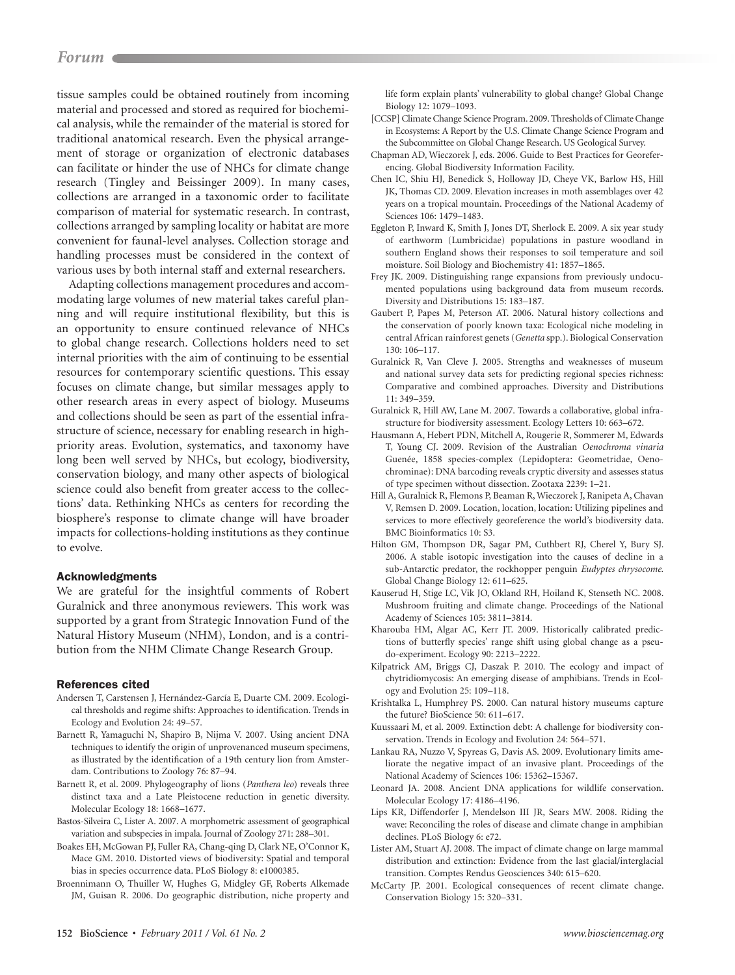tissue samples could be obtained routinely from incoming material and processed and stored as required for biochemical analysis, while the remainder of the material is stored for traditional anatomical research. Even the physical arrangement of storage or organization of electronic databases can facilitate or hinder the use of NHCs for climate change research (Tingley and Beissinger 2009). In many cases, collections are arranged in a taxonomic order to facilitate comparison of material for systematic research. In contrast, collections arranged by sampling locality or habitat are more convenient for faunal-level analyses. Collection storage and handling processes must be considered in the context of various uses by both internal staff and external researchers.

Adapting collections management procedures and accommodating large volumes of new material takes careful planning and will require institutional flexibility, but this is an opportunity to ensure continued relevance of NHCs to global change research. Collections holders need to set internal priorities with the aim of continuing to be essential resources for contemporary scientific questions. This essay focuses on climate change, but similar messages apply to other research areas in every aspect of biology. Museums and collections should be seen as part of the essential infrastructure of science, necessary for enabling research in highpriority areas. Evolution, systematics, and taxonomy have long been well served by NHCs, but ecology, biodiversity, conservation biology, and many other aspects of biological science could also benefit from greater access to the collections' data. Rethinking NHCs as centers for recording the biosphere's response to climate change will have broader impacts for collections-holding institutions as they continue to evolve.

#### Acknowledgments

We are grateful for the insightful comments of Robert Guralnick and three anonymous reviewers. This work was supported by a grant from Strategic Innovation Fund of the Natural History Museum (NHM), London, and is a contribution from the NHM Climate Change Research Group.

#### References cited

- Andersen T, Carstensen J, Hernández-García E, Duarte CM. 2009. Ecological thresholds and regime shifts: Approaches to identification. Trends in Ecology and Evolution 24: 49–57.
- Barnett R, Yamaguchi N, Shapiro B, Nijma V. 2007. Using ancient DNA techniques to identify the origin of unprovenanced museum specimens, as illustrated by the identification of a 19th century lion from Amsterdam. Contributions to Zoology 76: 87–94.
- Barnett R, et al. 2009. Phylogeography of lions (*Panthera leo*) reveals three distinct taxa and a Late Pleistocene reduction in genetic diversity. Molecular Ecology 18: 1668–1677.
- Bastos-Silveira C, Lister A. 2007. A morphometric assessment of geographical variation and subspecies in impala. Journal of Zoology 271: 288–301.
- Boakes EH, McGowan PJ, Fuller RA, Chang-qing D, Clark NE, O'Connor K, Mace GM. 2010. Distorted views of biodiversity: Spatial and temporal bias in species occurrence data. PLoS Biology 8: e1000385.

Broennimann O, Thuiller W, Hughes G, Midgley GF, Roberts Alkemade JM, Guisan R. 2006. Do geographic distribution, niche property and life form explain plants' vulnerability to global change? Global Change Biology 12: 1079–1093.

- [CCSP] Climate Change Science Program. 2009. Thresholds of Climate Change in Ecosystems: A Report by the U.S. Climate Change Science Program and the Subcommittee on Global Change Research. US Geological Survey.
- Chapman AD, Wieczorek J, eds. 2006. Guide to Best Practices for Georeferencing. Global Biodiversity Information Facility.
- Chen IC, Shiu HJ, Benedick S, Holloway JD, Cheye VK, Barlow HS, Hill JK, Thomas CD. 2009. Elevation increases in moth assemblages over 42 years on a tropical mountain. Proceedings of the National Academy of Sciences 106: 1479–1483.
- Eggleton P, Inward K, Smith J, Jones DT, Sherlock E. 2009. A six year study of earthworm (Lumbricidae) populations in pasture woodland in southern England shows their responses to soil temperature and soil moisture. Soil Biology and Biochemistry 41: 1857–1865.
- Frey JK. 2009. Distinguishing range expansions from previously undocumented populations using background data from museum records. Diversity and Distributions 15: 183–187.
- Gaubert P, Papes M, Peterson AT. 2006. Natural history collections and the conservation of poorly known taxa: Ecological niche modeling in central African rainforest genets (*Genetta* spp.). Biological Conservation 130: 106–117.
- Guralnick R, Van Cleve J. 2005. Strengths and weaknesses of museum and national survey data sets for predicting regional species richness: Comparative and combined approaches. Diversity and Distributions 11: 349–359.
- Guralnick R, Hill AW, Lane M. 2007. Towards a collaborative, global infrastructure for biodiversity assessment. Ecology Letters 10: 663–672.
- Hausmann A, Hebert PDN, Mitchell A, Rougerie R, Sommerer M, Edwards T, Young CJ. 2009. Revision of the Australian *Oenochroma vinaria* Guenée, 1858 species-complex (Lepidoptera: Geometridae, Oenochrominae): DNA barcoding reveals cryptic diversity and assesses status of type specimen without dissection. Zootaxa 2239: 1–21.
- Hill A, Guralnick R, Flemons P, Beaman R, Wieczorek J, Ranipeta A, Chavan V, Remsen D. 2009. Location, location, location: Utilizing pipelines and services to more effectively georeference the world's biodiversity data. BMC Bioinformatics 10: S3.
- Hilton GM, Thompson DR, Sagar PM, Cuthbert RJ, Cherel Y, Bury SJ. 2006. A stable isotopic investigation into the causes of decline in a sub-Antarctic predator, the rockhopper penguin *Eudyptes chrysocome*. Global Change Biology 12: 611–625.
- Kauserud H, Stige LC, Vik JO, Okland RH, Hoiland K, Stenseth NC. 2008. Mushroom fruiting and climate change. Proceedings of the National Academy of Sciences 105: 3811–3814.
- Kharouba HM, Algar AC, Kerr JT. 2009. Historically calibrated predictions of butterfly species' range shift using global change as a pseudo-experiment. Ecology 90: 2213–2222.
- Kilpatrick AM, Briggs CJ, Daszak P. 2010. The ecology and impact of chytridiomycosis: An emerging disease of amphibians. Trends in Ecology and Evolution 25: 109–118.
- Krishtalka L, Humphrey PS. 2000. Can natural history museums capture the future? BioScience 50: 611–617.
- Kuussaari M, et al. 2009. Extinction debt: A challenge for biodiversity conservation. Trends in Ecology and Evolution 24: 564–571.
- Lankau RA, Nuzzo V, Spyreas G, Davis AS. 2009. Evolutionary limits ameliorate the negative impact of an invasive plant. Proceedings of the National Academy of Sciences 106: 15362–15367.
- Leonard JA. 2008. Ancient DNA applications for wildlife conservation. Molecular Ecology 17: 4186–4196.
- Lips KR, Diffendorfer J, Mendelson III JR, Sears MW. 2008. Riding the wave: Reconciling the roles of disease and climate change in amphibian declines. PLoS Biology 6: e72.
- Lister AM, Stuart AJ. 2008. The impact of climate change on large mammal distribution and extinction: Evidence from the last glacial/interglacial transition. Comptes Rendus Geosciences 340: 615–620.
- McCarty JP. 2001. Ecological consequences of recent climate change. Conservation Biology 15: 320–331.